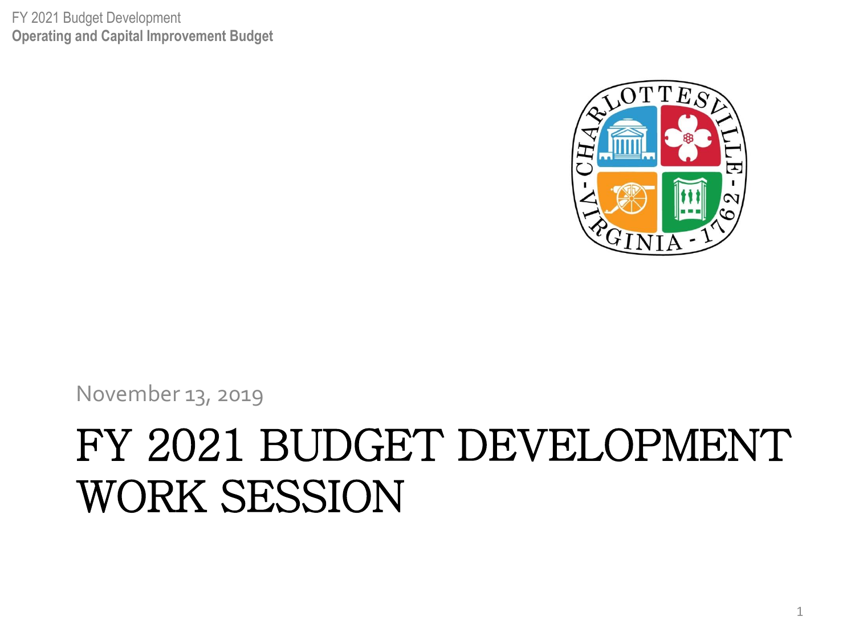FY 2021 Budget Development **Operating and Capital Improvement Budget**



November 13, 2019

#### FY 2021 BUDGET DEVELOPMENT WORK SESSION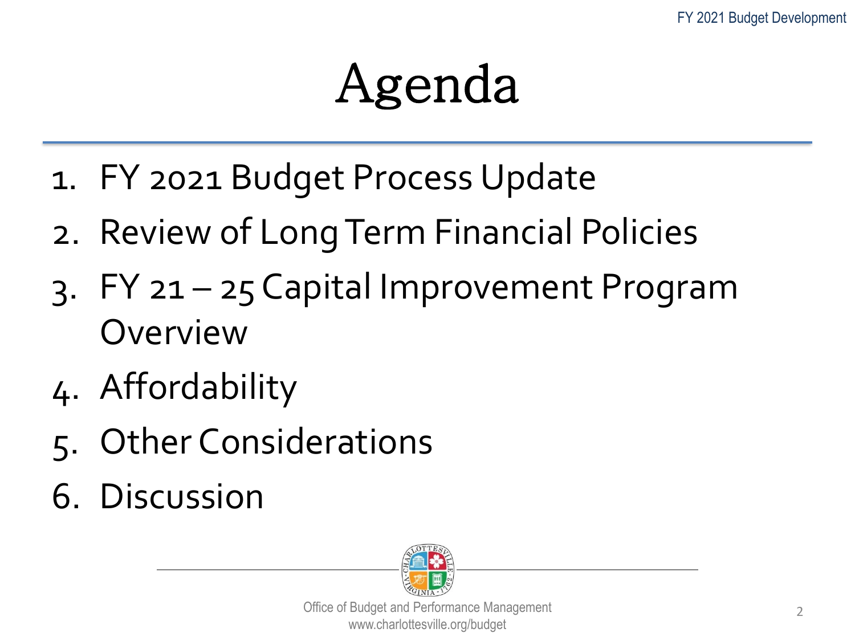### Agenda

- 1. FY 2021 Budget Process Update
- 2. Review of Long Term Financial Policies
- 3. FY 21 25 Capital Improvement Program Overview
- 4. Affordability
- 5. Other Considerations
- 6. Discussion

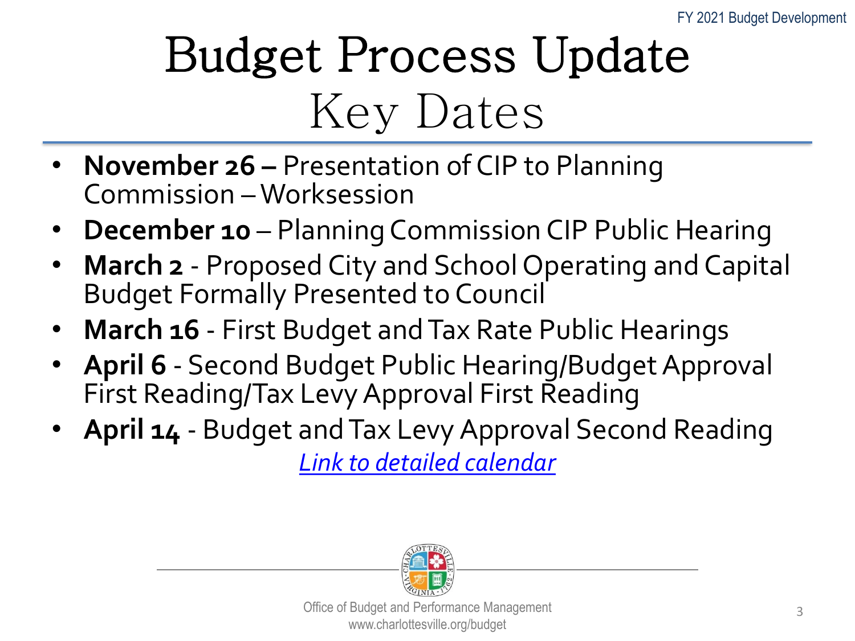### Budget Process Update Key Dates

- **November 26 –** Presentation of CIP to Planning Commission – Worksession
- **December 10** Planning Commission CIP Public Hearing
- **March 2** Proposed City and School Operating and Capital Budget Formally Presented to Council
- **March 16** First Budget and Tax Rate Public Hearings
- **April 6** Second Budget Public Hearing/Budget Approval First Reading/Tax Levy Approval First Reading
- **April 14**  Budget and Tax Levy Approval Second Reading

*[Link to detailed calendar](http://www.charlottesville.org/home/showdocument?id=59603)*

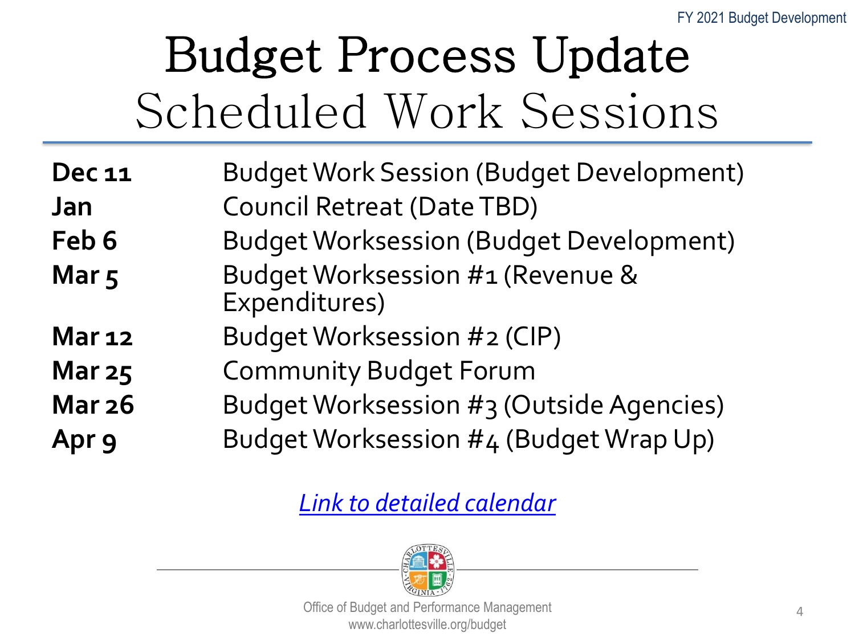### Budget Process Update Scheduled Work Sessions

| <b>Dec 11</b>                  | <b>Budget Work Session (Budget Development)</b>                                                                                                                                 |
|--------------------------------|---------------------------------------------------------------------------------------------------------------------------------------------------------------------------------|
| <b>Jan</b>                     | Council Retreat (Date TBD)                                                                                                                                                      |
| $\mathbf{r}$ . L. $\mathbf{r}$ | $\mathsf{D}_{\text{ref}}$ and $\mathsf{M}_{\text{ref}}$ and $\mathsf{M}_{\text{ref}}$ and $\mathsf{D}_{\text{ref}}$ and $\mathsf{D}_{\text{ref}}$ and $\mathsf{M}_{\text{ref}}$ |

- **Feb 6** Budget Worksession (Budget Development)
- Mar 5 Budget Worksession #1 (Revenue & Expenditures)
- **Mar 12** Budget Worksession #2 (CIP)
- **Mar 25** Community Budget Forum
- **Mar 26** Budget Worksession #3 (Outside Agencies)
- **Apr 9** Budget Worksession #4 (Budget Wrap Up)

*[Link to detailed calendar](http://www.charlottesville.org/home/showdocument?id=59603)*

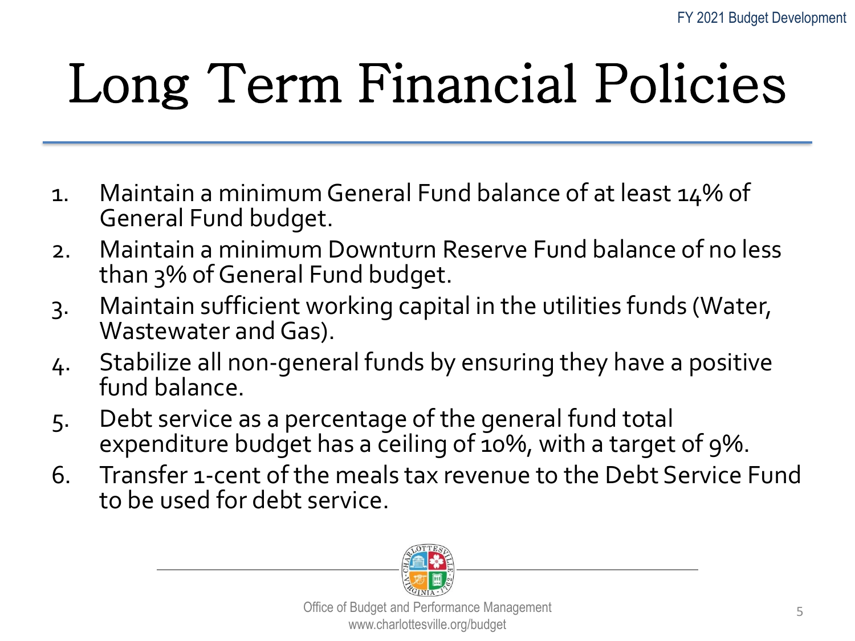## Long Term Financial Policies

- 1. Maintain a minimum General Fund balance of at least 14% of General Fund budget.
- 2. Maintain a minimum Downturn Reserve Fund balance of no less than 3% of General Fund budget.
- 3. Maintain sufficient working capital in the utilities funds (Water, Wastewater and Gas).
- 4. Stabilize all non-general funds by ensuring they have a positive fund balance.
- 5. Debt service as a percentage of the general fund total expenditure budget has a ceiling of 10%, with a target of 9%.
- 6. Transfer 1-cent of the meals tax revenue to the Debt Service Fund to be used for debt service.

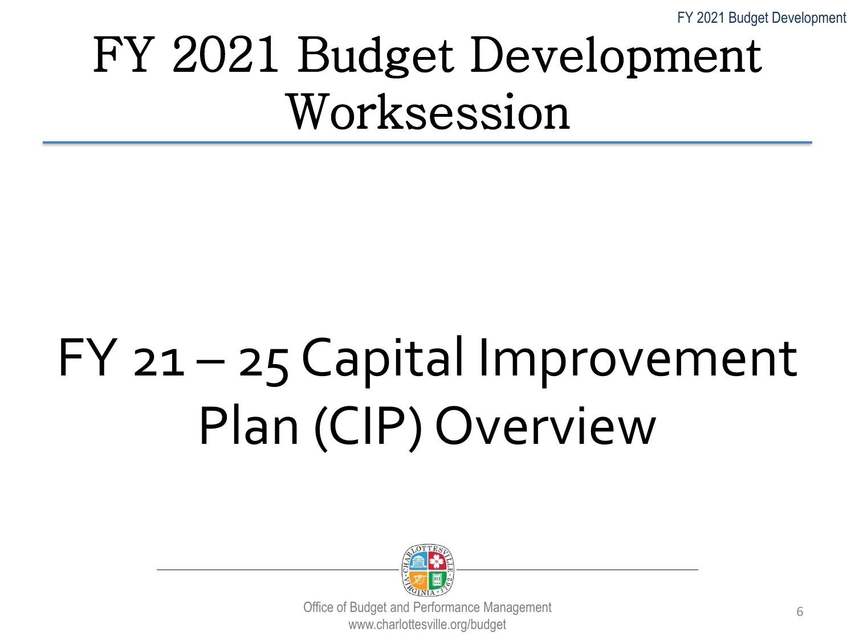FY 2021 Budget Development

#### FY 2021 Budget Development Worksession

## FY 21 – 25 Capital Improvement Plan (CIP) Overview

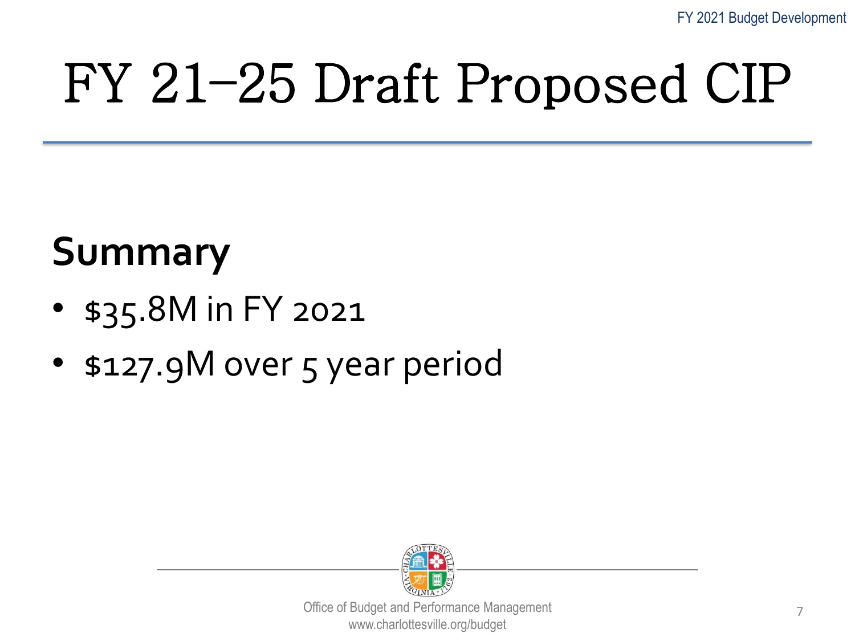## FY 21–25 Draft Proposed CIP

#### **Summary**

- \$35.8M in FY 2021
- \$127.9M over 5 year period

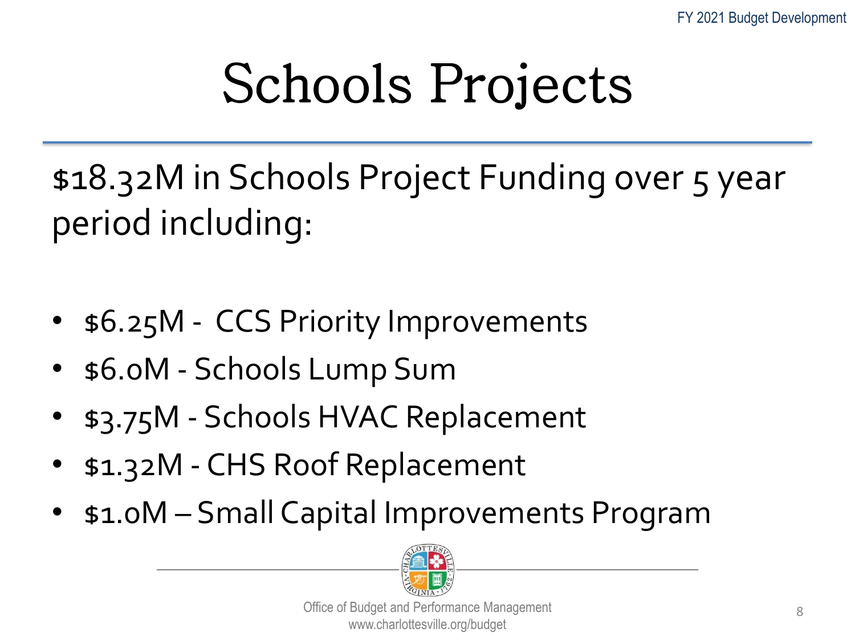## Schools Projects

\$18.32M in Schools Project Funding over 5 year period including:

- \$6.25M CCS Priority Improvements
- \$6.0M Schools Lump Sum
- \$3.75M Schools HVAC Replacement
- \$1.32M CHS Roof Replacement
- \$1.0M Small Capital Improvements Program

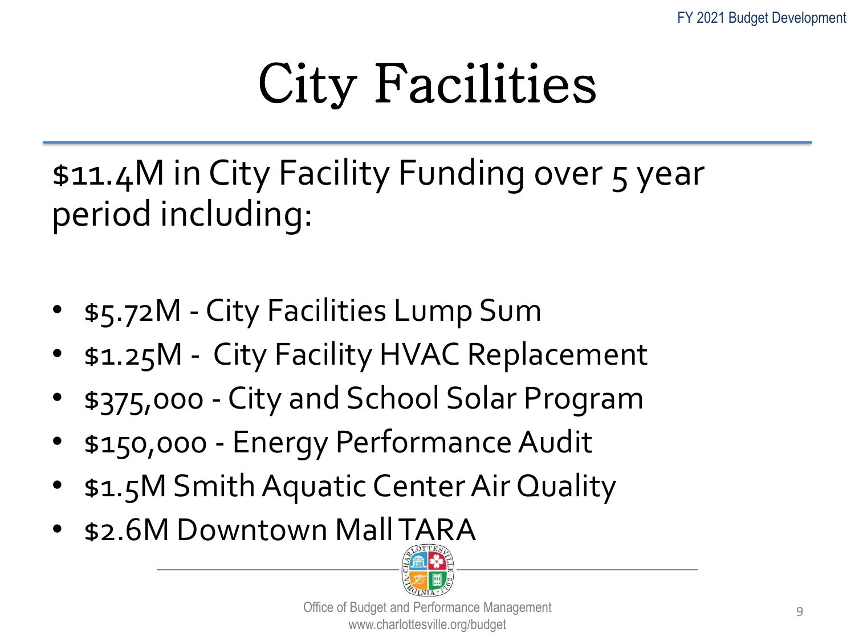## City Facilities

\$11.4M in City Facility Funding over 5 year period including:

- \$5.72M City Facilities Lump Sum
- \$1.25M City Facility HVAC Replacement
- \$375,000 City and School Solar Program
- \$150,000 Energy Performance Audit
- \$1.5M Smith Aquatic Center Air Quality
- \$2.6M Downtown Mall TARA

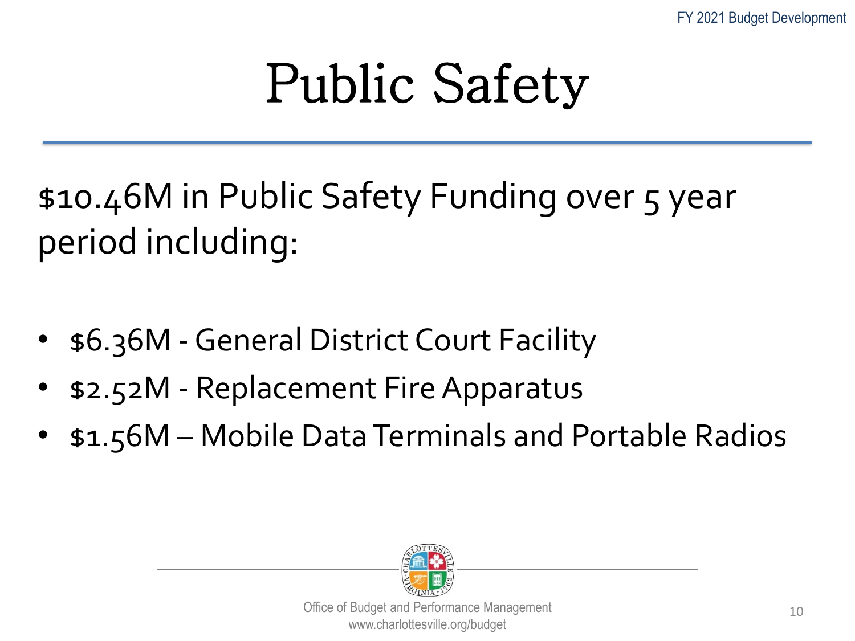## Public Safety

\$10.46M in Public Safety Funding over 5 year period including:

- \$6.36M -General District Court Facility
- \$2.52M Replacement Fire Apparatus
- \$1.56M Mobile Data Terminals and Portable Radios

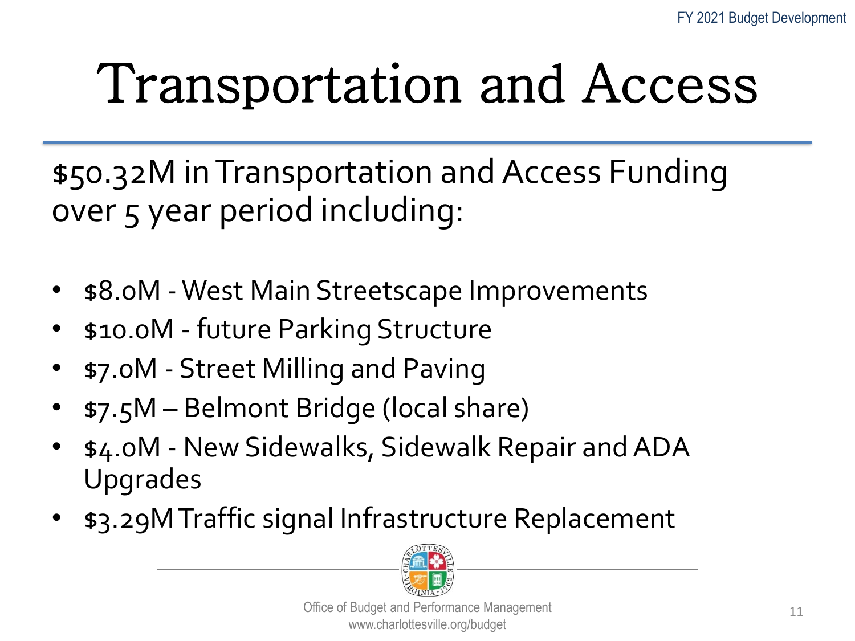## Transportation and Access

\$50.32M in Transportation and Access Funding over 5 year period including:

- $$8.0M$  West Main Streetscape Improvements
- \$10.0M future Parking Structure
- \$7.0M Street Milling and Paving
- \$7.5M Belmont Bridge (local share)
- \$4.0M New Sidewalks, Sidewalk Repair and ADA Upgrades
- \$3.29M Traffic signal Infrastructure Replacement

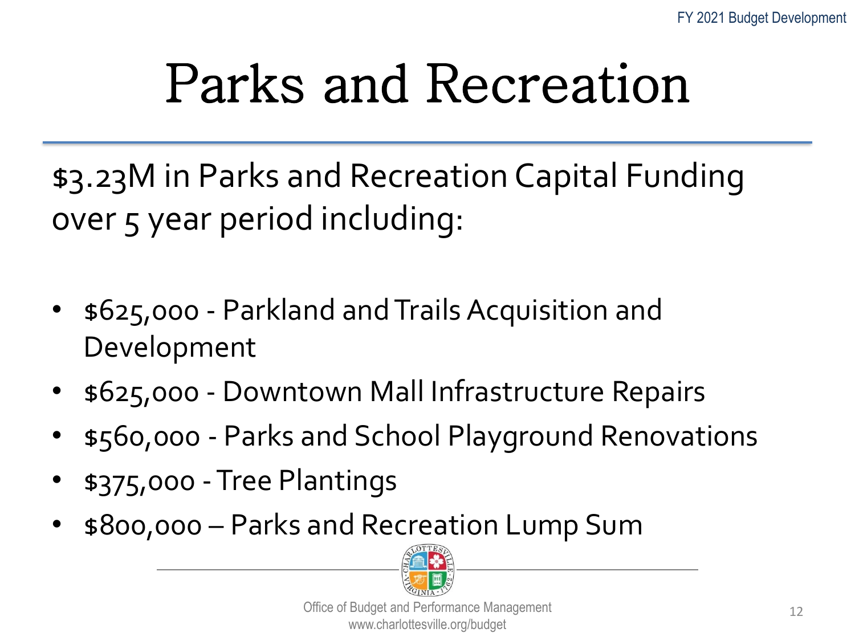## Parks and Recreation

\$3.23M in Parks and Recreation Capital Funding over 5 year period including:

- \$625,000 Parkland and Trails Acquisition and Development
- \$625,000 Downtown Mall Infrastructure Repairs
- \$560,000 Parks and School Playground Renovations
- \$375,000 -Tree Plantings
- \$800,000 Parks and Recreation Lump Sum

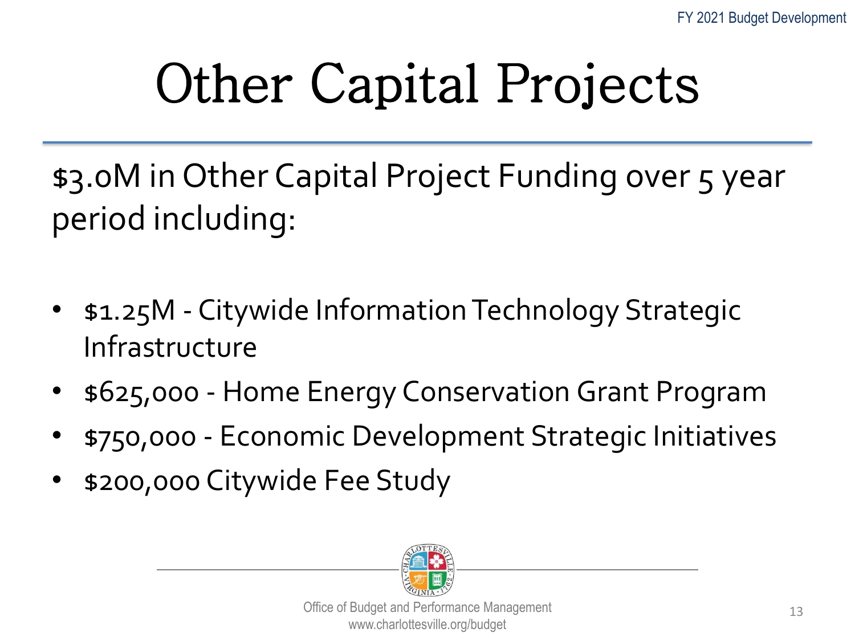## Other Capital Projects

\$3.0M in Other Capital Project Funding over 5 year period including:

- \$1.25M Citywide Information Technology Strategic Infrastructure
- \$625,000 Home Energy Conservation Grant Program
- \$750,000 Economic Development Strategic Initiatives
- \$200,000 Citywide Fee Study

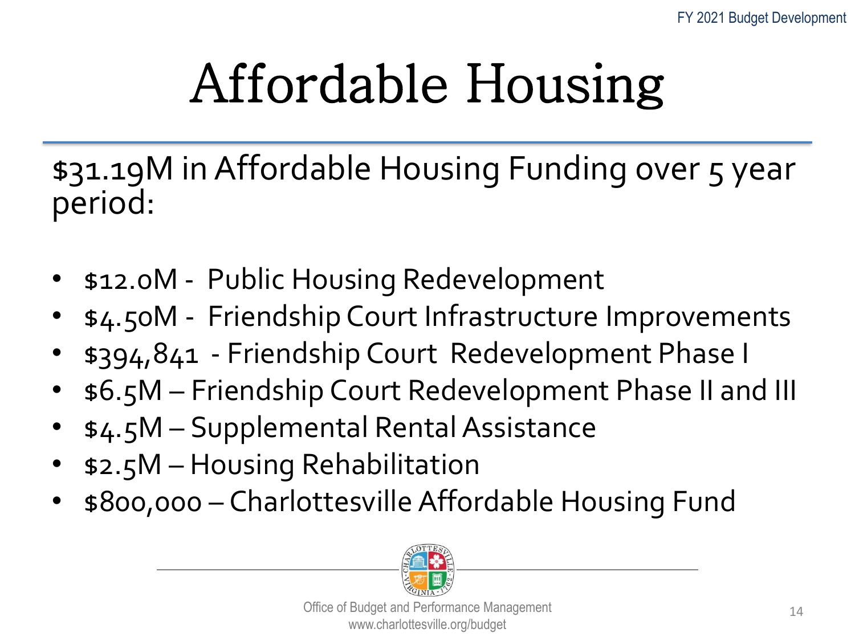## Affordable Housing

\$31.19M in Affordable Housing Funding over 5 year period:

- \$12.0M Public Housing Redevelopment
- \$4.50M Friendship Court Infrastructure Improvements
- \$394,841 Friendship Court Redevelopment Phase I
- \$6.5M Friendship Court Redevelopment Phase II and III
- \$4.5M Supplemental Rental Assistance
- \$2.5M Housing Rehabilitation
- \$800,000 Charlottesville Affordable Housing Fund

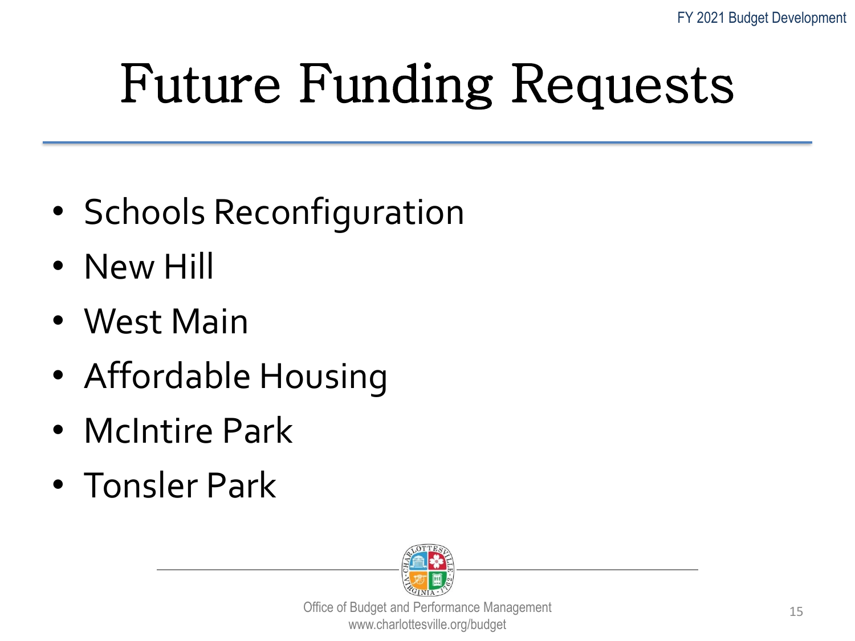## Future Funding Requests

- Schools Reconfiguration
- New Hill
- West Main
- Affordable Housing
- McIntire Park
- Tonsler Park

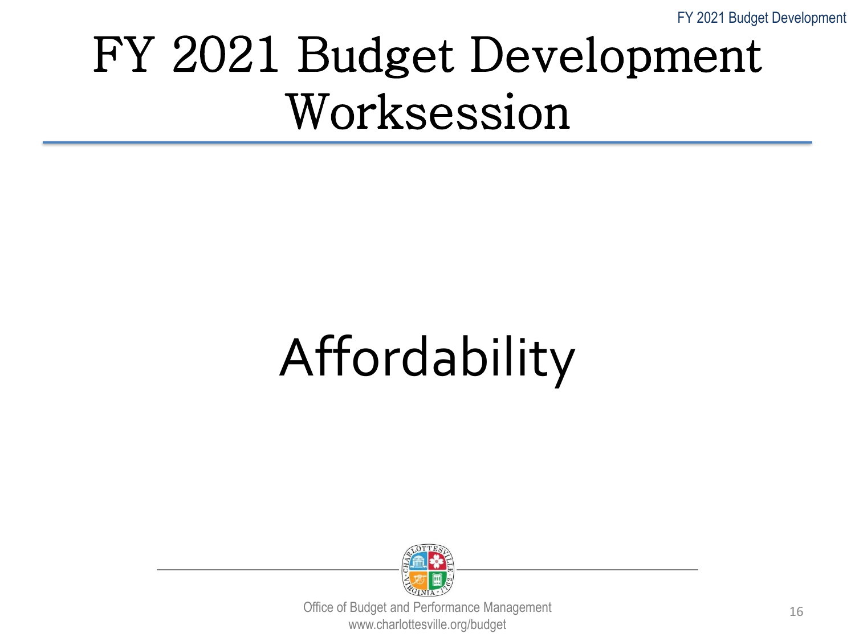#### FY 2021 Budget Development Worksession

## Affordability

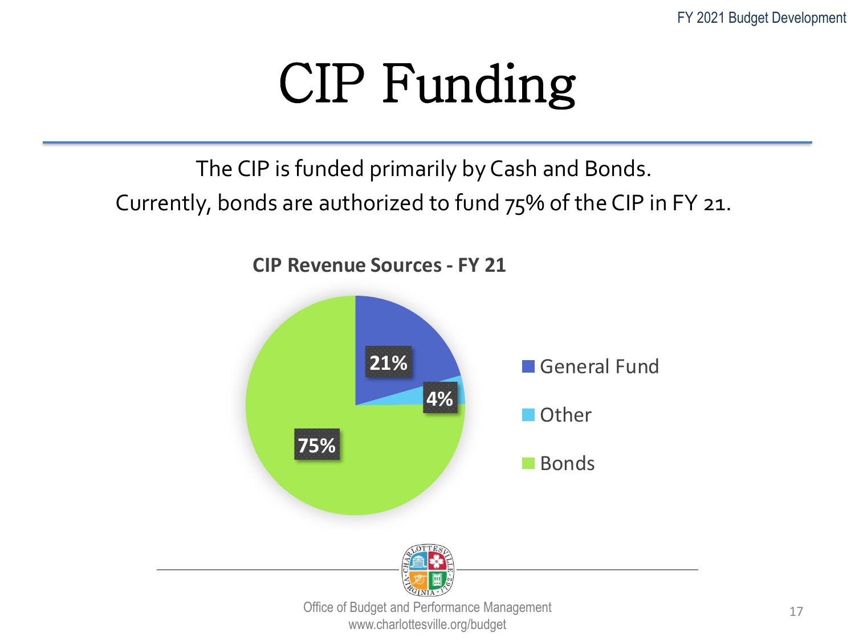17

## CIP Funding

The CIP is funded primarily by Cash and Bonds.

Currently, bonds are authorized to fund 75% of the CIP in FY 21.

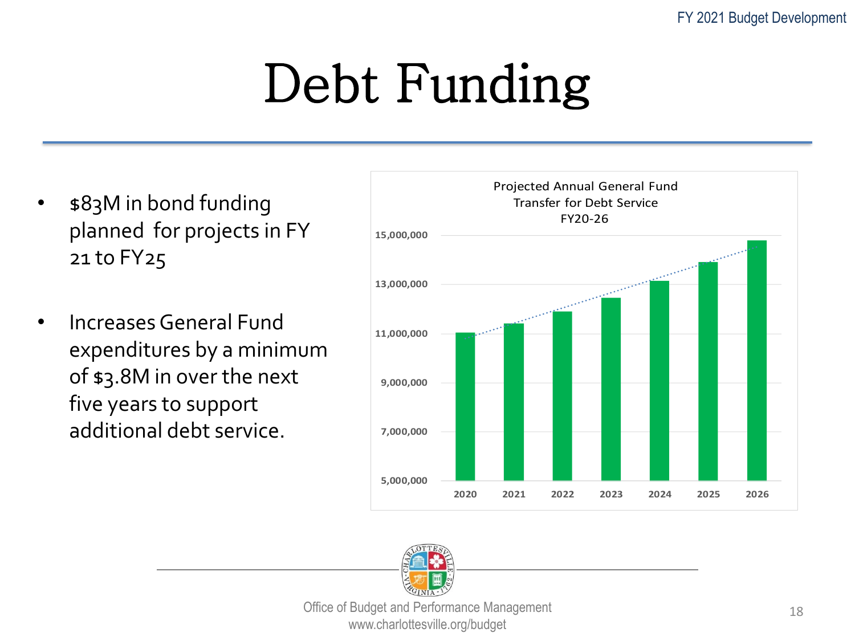## Debt Funding

- \$83M in bond funding planned for projects in FY 21 to FY25
- Increases General Fund expenditures by a minimum of \$3.8M in over the next five years to support additional debt service.



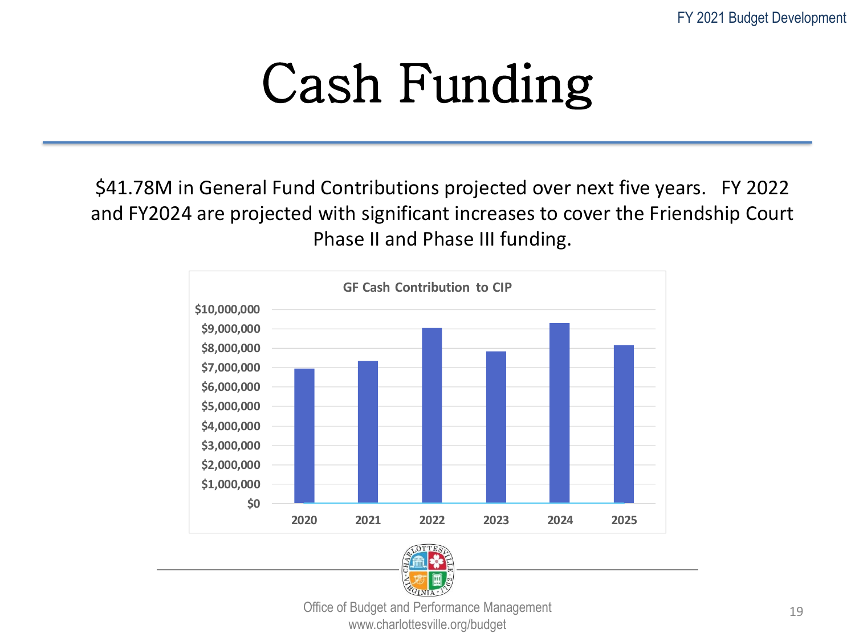## Cash Funding

\$41.78M in General Fund Contributions projected over next five years. FY 2022 and FY2024 are projected with significant increases to cover the Friendship Court Phase II and Phase III funding.



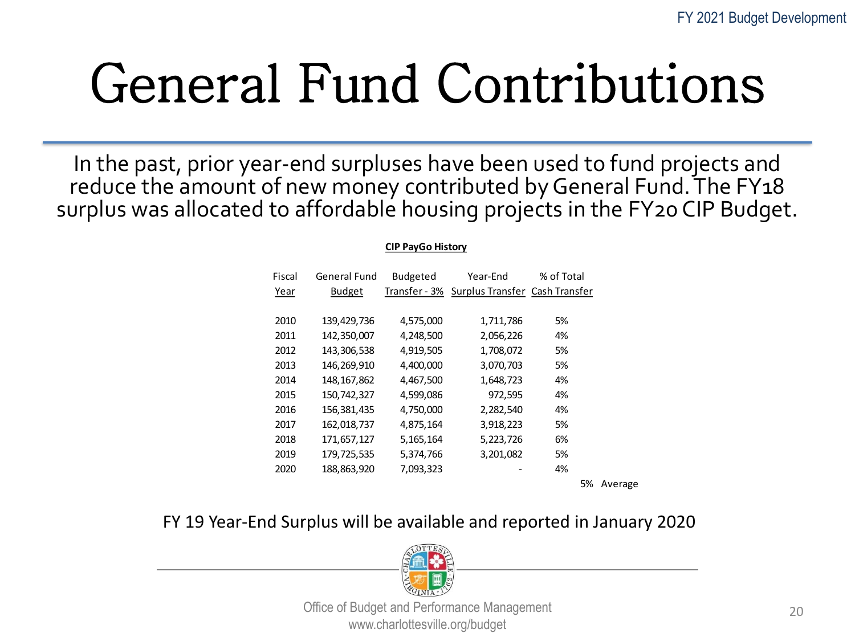## General Fund Contributions

In the past, prior year-end surpluses have been used to fund projects and reduce the amount of new money contributed by General Fund. The FY18 surplus was allocated to affordable housing projects in the FY20 CIP Budget.

#### **CIP PayGo History**

| Fiscal | <b>General Fund</b> | <b>Budgeted</b> | Year-End                                     | % of Total |
|--------|---------------------|-----------------|----------------------------------------------|------------|
| Year   | <b>Budget</b>       |                 | Transfer - 3% Surplus Transfer Cash Transfer |            |
|        |                     |                 |                                              |            |
| 2010   | 139,429,736         | 4,575,000       | 1,711,786                                    | 5%         |
| 2011   | 142,350,007         | 4,248,500       | 2,056,226                                    | 4%         |
| 2012   | 143,306,538         | 4,919,505       | 1,708,072                                    | 5%         |
| 2013   | 146,269,910         | 4,400,000       | 3,070,703                                    | 5%         |
| 2014   | 148, 167, 862       | 4,467,500       | 1,648,723                                    | 4%         |
| 2015   | 150,742,327         | 4,599,086       | 972,595                                      | 4%         |
| 2016   | 156,381,435         | 4,750,000       | 2,282,540                                    | 4%         |
| 2017   | 162,018,737         | 4,875,164       | 3,918,223                                    | 5%         |
| 2018   | 171,657,127         | 5,165,164       | 5,223,726                                    | 6%         |
| 2019   | 179,725,535         | 5,374,766       | 3,201,082                                    | 5%         |
| 2020   | 188,863,920         | 7,093,323       |                                              | 4%         |
|        |                     |                 |                                              |            |

5% Average

#### FY 19 Year-End Surplus will be available and reported in January 2020

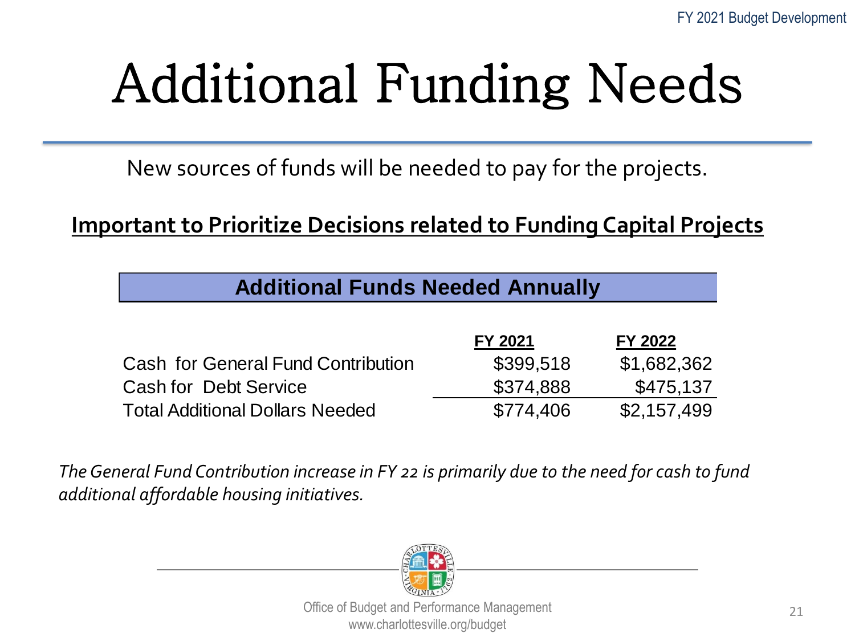## Additional Funding Needs

New sources of funds will be needed to pay for the projects.

**Important to Prioritize Decisions related to Funding Capital Projects**

**Additional Funds Needed Annually**

| $\overline{ }$ , wandonal Fanao Nooaca / Milaaliy |           |             |  |  |
|---------------------------------------------------|-----------|-------------|--|--|
|                                                   |           |             |  |  |
|                                                   | FY 2021   | FY 2022     |  |  |
| <b>Cash for General Fund Contribution</b>         | \$399,518 | \$1,682,362 |  |  |
| <b>Cash for Debt Service</b>                      | \$374,888 | \$475,137   |  |  |
| <b>Total Additional Dollars Needed</b>            | \$774,406 | \$2,157,499 |  |  |

*The General Fund Contribution increase in FY 22 is primarily due to the need for cash to fund additional affordable housing initiatives.*

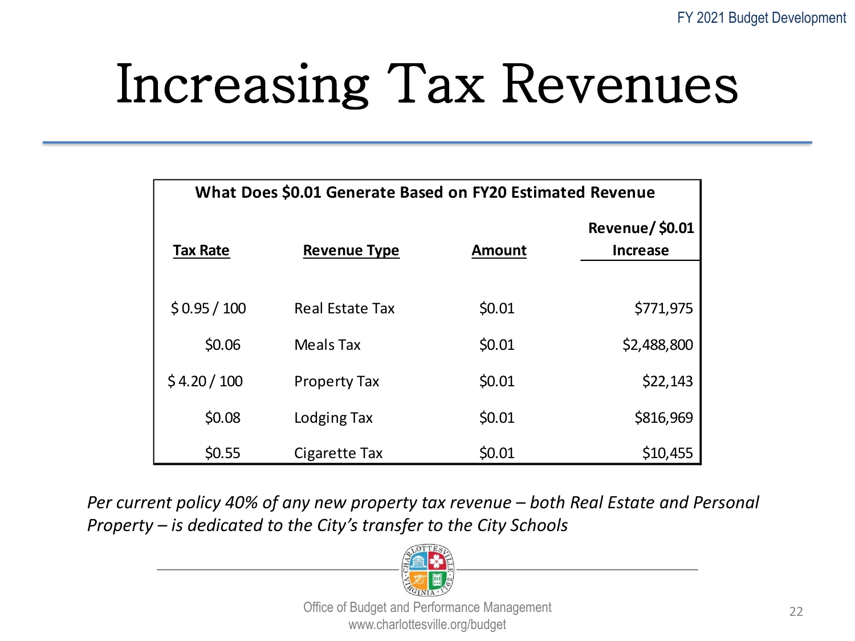## Increasing Tax Revenues

| What Does \$0.01 Generate Based on FY20 Estimated Revenue |                        |               |                                          |  |  |
|-----------------------------------------------------------|------------------------|---------------|------------------------------------------|--|--|
| <b>Tax Rate</b>                                           | <b>Revenue Type</b>    | <b>Amount</b> | <b>Revenue/\$0.01</b><br><b>Increase</b> |  |  |
|                                                           |                        |               |                                          |  |  |
| \$0.95/100                                                | <b>Real Estate Tax</b> | \$0.01        | \$771,975                                |  |  |
| \$0.06                                                    | Meals Tax              | \$0.01        | \$2,488,800                              |  |  |
| \$4.20/100                                                | <b>Property Tax</b>    | \$0.01        | \$22,143                                 |  |  |
| \$0.08                                                    | Lodging Tax            | \$0.01        | \$816,969                                |  |  |
| \$0.55                                                    | Cigarette Tax          | \$0.01        | \$10,455                                 |  |  |

*Per current policy 40% of any new property tax revenue – both Real Estate and Personal Property – is dedicated to the City's transfer to the City Schools*

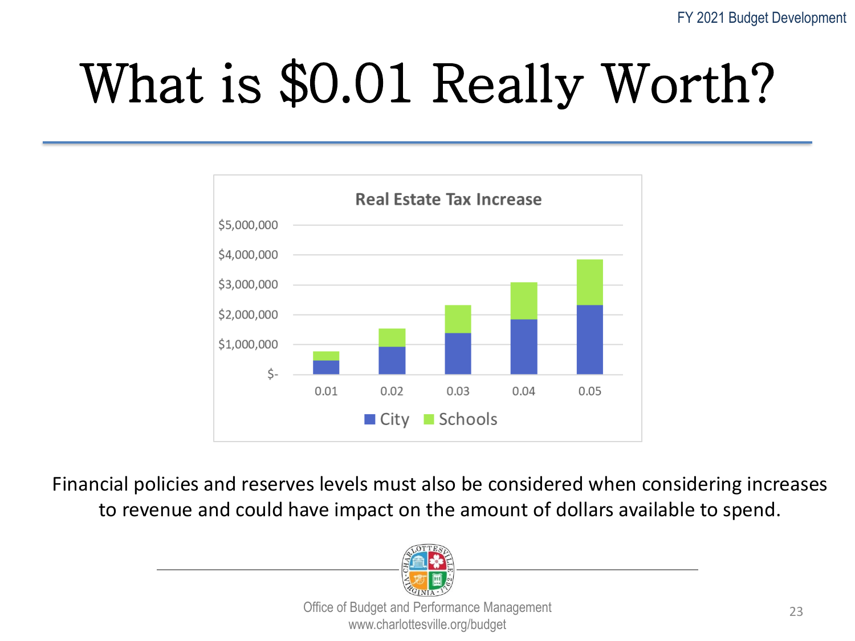# What is \$0.01 Really Worth?



Financial policies and reserves levels must also be considered when considering increases to revenue and could have impact on the amount of dollars available to spend.

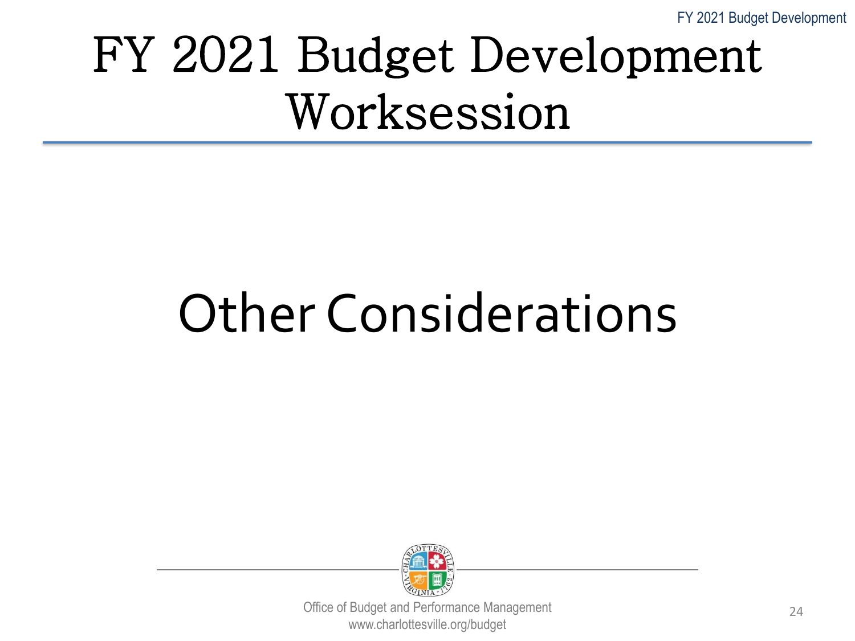FY 2021 Budget Development

#### FY 2021 Budget Development Worksession

## Other Considerations

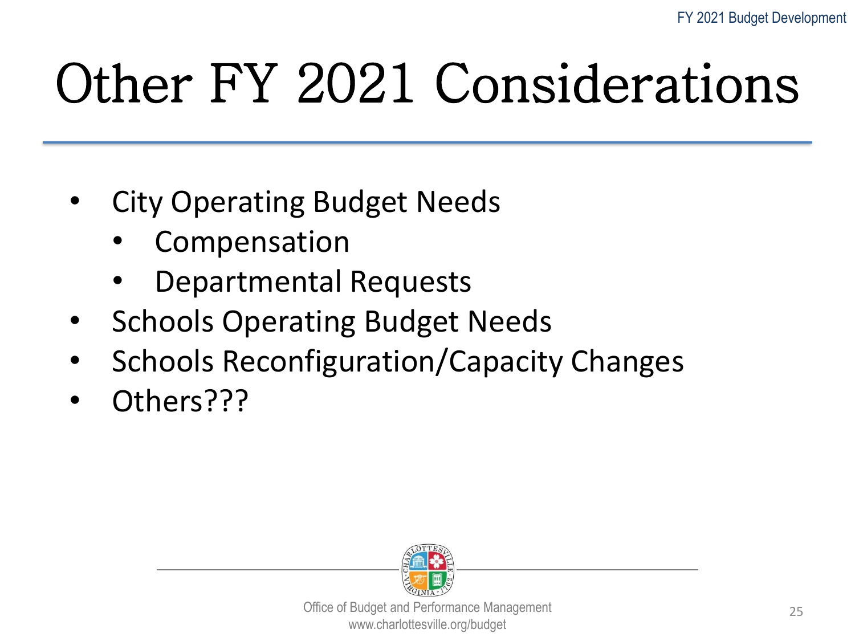## Other FY 2021 Considerations

- **City Operating Budget Needs** 
	- **Compensation**
	- Departmental Requests
- Schools Operating Budget Needs
- Schools Reconfiguration/Capacity Changes
- Others???

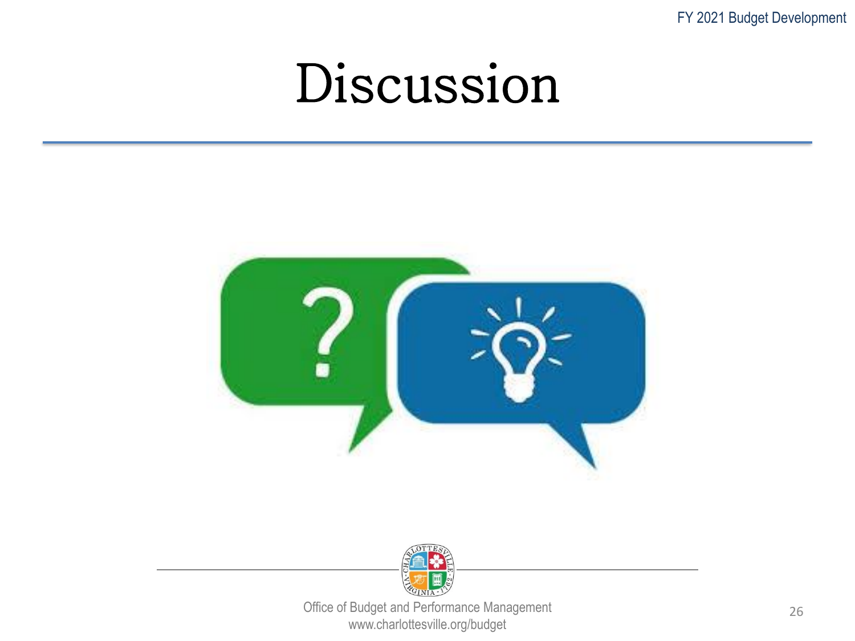FY 2021 Budget Development

#### Discussion



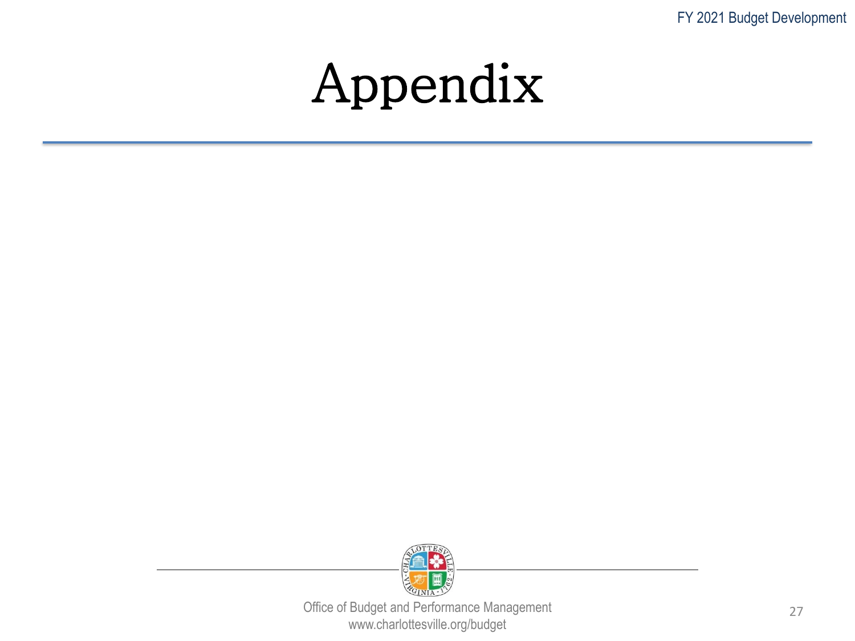FY 2021 Budget Development

#### Appendix

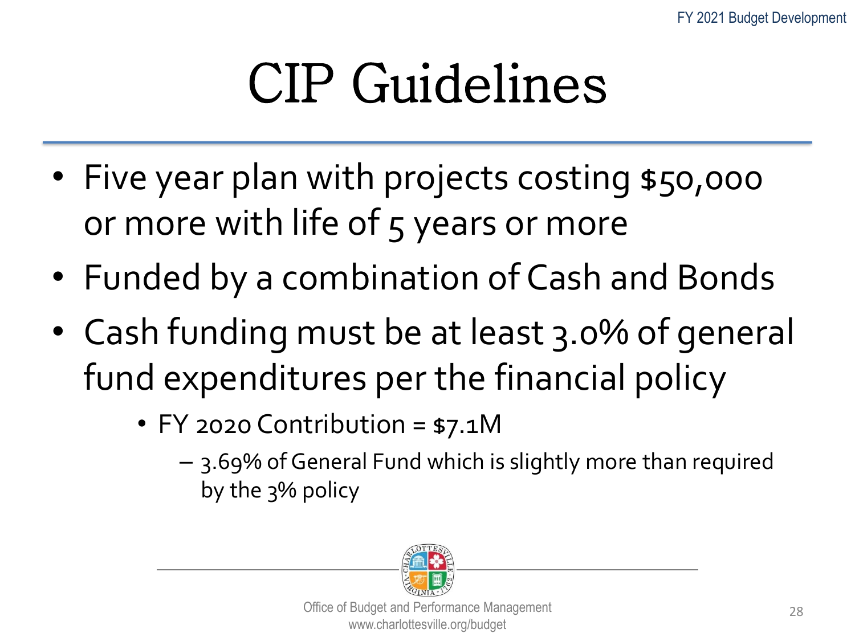## CIP Guidelines

- Five year plan with projects costing \$50,000 or more with life of 5 years or more
- Funded by a combination of Cash and Bonds
- Cash funding must be at least 3.0% of general fund expenditures per the financial policy
	- FY 2020 Contribution = \$7.1M
		- 3.69% of General Fund which is slightly more than required by the 3% policy

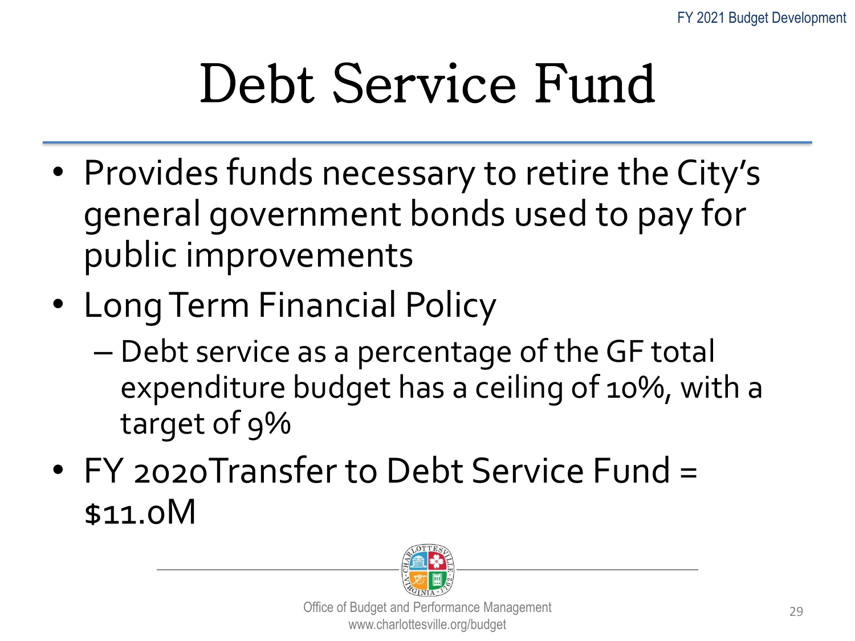## Debt Service Fund

- Provides funds necessary to retire the City's general government bonds used to pay for public improvements
- Long Term Financial Policy
	- Debt service as a percentage of the GF total expenditure budget has a ceiling of 10%, with a target of 9%
- FY 2020 Transfer to Debt Service Fund = \$11.0M

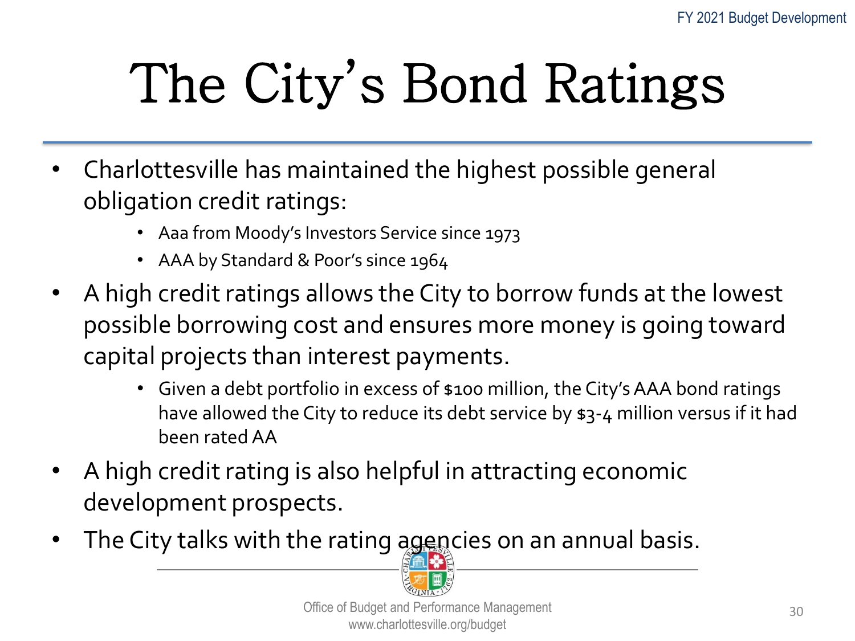# The City's Bond Ratings

- Charlottesville has maintained the highest possible general obligation credit ratings:
	- Aaa from Moody's Investors Service since 1973
	- AAA by Standard & Poor's since 1964
- A high credit ratings allows the City to borrow funds at the lowest possible borrowing cost and ensures more money is going toward capital projects than interest payments.
	- Given a debt portfolio in excess of \$100 million, the City's AAA bond ratings have allowed the City to reduce its debt service by \$3-4 million versus if it had been rated AA
- A high credit rating is also helpful in attracting economic development prospects.
- The City talks with the rating agencies on an annual basis.

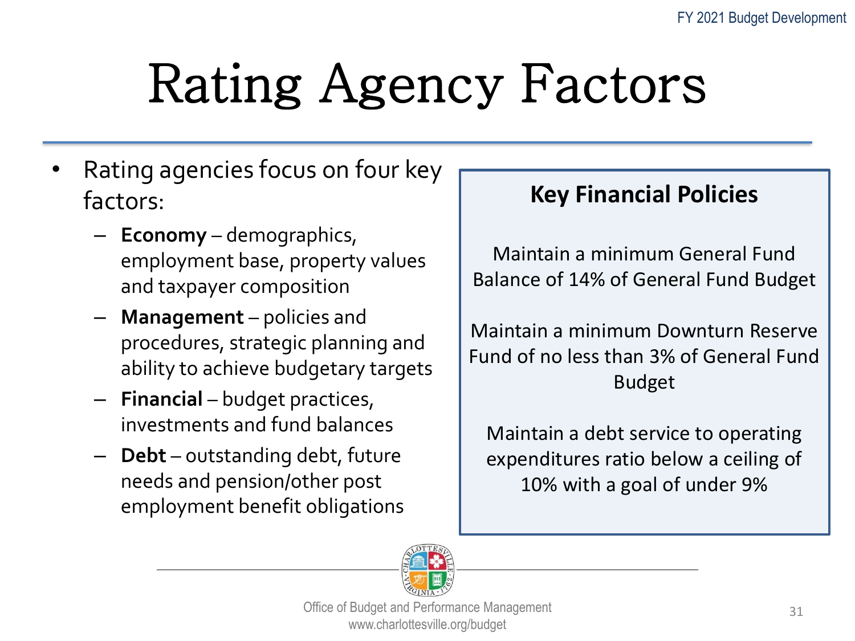## Rating Agency Factors

- Rating agencies focus on four key factors:
	- **Economy** demographics, employment base, property values and taxpayer composition
	- **Management** policies and procedures, strategic planning and ability to achieve budgetary targets
	- **Financial** budget practices, investments and fund balances
	- **Debt** outstanding debt, future needs and pension/other post employment benefit obligations

#### **Key Financial Policies**

Maintain a minimum General Fund Balance of 14% of General Fund Budget

Maintain a minimum Downturn Reserve Fund of no less than 3% of General Fund Budget

Maintain a debt service to operating expenditures ratio below a ceiling of 10% with a goal of under 9%